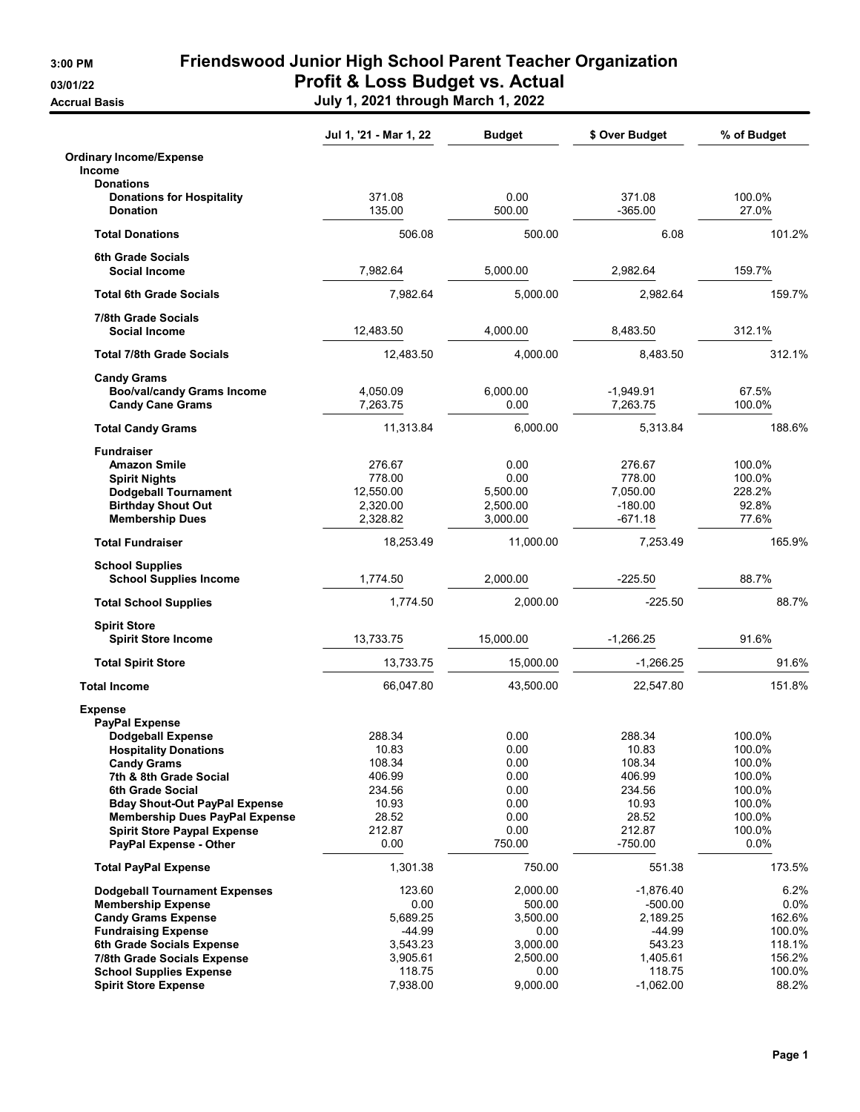3:00 PM Friendswood Junior High School Parent Teacher Organization 03/01/22 **Profit & Loss Budget vs. Actual** Accrual Basis July 1, 2021 through March 1, 2022

|                                                              | Jul 1, '21 - Mar 1, 22 | <b>Budget</b>  | \$ Over Budget      | % of Budget       |
|--------------------------------------------------------------|------------------------|----------------|---------------------|-------------------|
| <b>Ordinary Income/Expense</b><br><b>Income</b>              |                        |                |                     |                   |
| <b>Donations</b>                                             |                        |                |                     |                   |
| <b>Donations for Hospitality</b>                             | 371.08                 | 0.00           | 371.08              | 100.0%            |
| <b>Donation</b>                                              | 135.00                 | 500.00         | $-365.00$           | 27.0%             |
| <b>Total Donations</b>                                       | 506.08                 | 500.00         | 6.08                | 101.2%            |
| <b>6th Grade Socials</b>                                     |                        |                |                     |                   |
| <b>Social Income</b>                                         | 7,982.64               | 5,000.00       | 2,982.64            | 159.7%            |
| <b>Total 6th Grade Socials</b>                               | 7,982.64               | 5,000.00       | 2,982.64            | 159.7%            |
| 7/8th Grade Socials                                          |                        |                |                     |                   |
| <b>Social Income</b>                                         | 12,483.50              | 4,000.00       | 8,483.50            | 312.1%            |
| <b>Total 7/8th Grade Socials</b>                             | 12,483.50              | 4,000.00       | 8,483.50            | 312.1%            |
| <b>Candy Grams</b>                                           |                        |                |                     |                   |
| <b>Boo/val/candy Grams Income</b>                            | 4,050.09               | 6,000.00       | $-1,949.91$         | 67.5%             |
| <b>Candy Cane Grams</b>                                      | 7,263.75               | 0.00           | 7,263.75            | 100.0%            |
| <b>Total Candy Grams</b>                                     | 11,313.84              | 6.000.00       | 5,313.84            | 188.6%            |
| <b>Fundraiser</b>                                            |                        |                |                     |                   |
| <b>Amazon Smile</b>                                          | 276.67                 | 0.00           | 276.67              | 100.0%            |
| <b>Spirit Nights</b>                                         | 778.00                 | 0.00           | 778.00              | 100.0%            |
| <b>Dodgeball Tournament</b>                                  | 12,550.00              | 5,500.00       | 7,050.00            | 228.2%            |
| <b>Birthday Shout Out</b>                                    | 2,320.00               | 2,500.00       | $-180.00$           | 92.8%             |
| <b>Membership Dues</b>                                       | 2,328.82               | 3.000.00       | $-671.18$           | 77.6%             |
| <b>Total Fundraiser</b>                                      | 18,253.49              | 11,000.00      | 7,253.49            | 165.9%            |
| <b>School Supplies</b>                                       |                        |                |                     |                   |
| <b>School Supplies Income</b>                                | 1,774.50               | 2,000.00       | $-225.50$           | 88.7%             |
| <b>Total School Supplies</b>                                 | 1,774.50               | 2,000.00       | $-225.50$           | 88.7%             |
| <b>Spirit Store</b>                                          |                        |                |                     |                   |
| <b>Spirit Store Income</b>                                   | 13,733.75              | 15,000.00      | $-1,266.25$         | 91.6%             |
| <b>Total Spirit Store</b>                                    | 13,733.75              | 15,000.00      | $-1,266.25$         | 91.6%             |
| <b>Total Income</b>                                          | 66,047.80              | 43,500.00      | 22,547.80           | 151.8%            |
| <b>Expense</b>                                               |                        |                |                     |                   |
| <b>PayPal Expense</b>                                        |                        |                |                     |                   |
| Dodgeball Expense                                            | 288.34                 | 0.00           | 288.34              | 100.0%            |
| <b>Hospitality Donations</b>                                 | 10.83                  | 0.00           | 10.83               | 100.0%            |
| <b>Candy Grams</b>                                           | 108.34                 | 0.00           | 108.34              | 100.0%            |
| 7th & 8th Grade Social                                       | 406.99                 | 0.00           | 406.99              | 100.0%            |
| 6th Grade Social                                             | 234.56                 | 0.00           | 234.56              | 100.0%            |
| <b>Bday Shout-Out PayPal Expense</b>                         | 10.93                  | 0.00           | 10.93               | 100.0%            |
| <b>Membership Dues PayPal Expense</b>                        | 28.52                  | 0.00           | 28.52               | 100.0%            |
| <b>Spirit Store Paypal Expense</b><br>PayPal Expense - Other | 212.87<br>0.00         | 0.00<br>750.00 | 212.87<br>$-750.00$ | 100.0%<br>$0.0\%$ |
|                                                              |                        |                |                     |                   |
| <b>Total PayPal Expense</b>                                  | 1,301.38               | 750.00         | 551.38              | 173.5%            |
| <b>Dodgeball Tournament Expenses</b>                         | 123.60                 | 2,000.00       | $-1,876.40$         | 6.2%              |
| <b>Membership Expense</b>                                    | 0.00                   | 500.00         | $-500.00$           | $0.0\%$           |
| <b>Candy Grams Expense</b>                                   | 5,689.25               | 3,500.00       | 2,189.25            | 162.6%            |
| <b>Fundraising Expense</b>                                   | $-44.99$               | 0.00           | $-44.99$            | 100.0%            |
| 6th Grade Socials Expense                                    | 3,543.23               | 3,000.00       | 543.23              | 118.1%            |
| 7/8th Grade Socials Expense                                  | 3,905.61               | 2,500.00       | 1,405.61            | 156.2%            |
| <b>School Supplies Expense</b>                               | 118.75                 | 0.00           | 118.75              | 100.0%            |
| <b>Spirit Store Expense</b>                                  | 7,938.00               | 9,000.00       | $-1,062.00$         | 88.2%             |